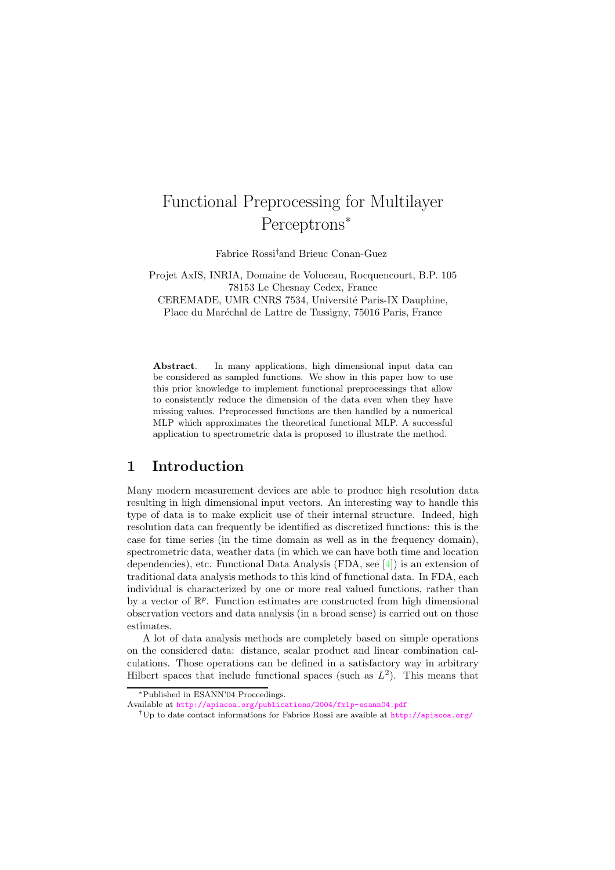# Functional Preprocessing for Multilayer Perceptrons<sup>∗</sup>

Fabrice Rossi†and Brieuc Conan-Guez

Projet AxIS, INRIA, Domaine de Voluceau, Rocquencourt, B.P. 105 78153 Le Chesnay Cedex, France CEREMADE, UMR CNRS 7534, Université Paris-IX Dauphine,

Place du Maréchal de Lattre de Tassigny, 75016 Paris, France

Abstract. In many applications, high dimensional input data can be considered as sampled functions. We show in this paper how to use this prior knowledge to implement functional preprocessings that allow to consistently reduce the dimension of the data even when they have missing values. Preprocessed functions are then handled by a numerical MLP which approximates the theoretical functional MLP. A successful application to spectrometric data is proposed to illustrate the method.

#### 1 Introduction

Many modern measurement devices are able to produce high resolution data resulting in high dimensional input vectors. An interesting way to handle this type of data is to make explicit use of their internal structure. Indeed, high resolution data can frequently be identified as discretized functions: this is the case for time series (in the time domain as well as in the frequency domain), spectrometric data, weather data (in which we can have both time and location dependencies), etc. Functional Data Analysis (FDA, see [\[4\]](#page-6-0)) is an extension of traditional data analysis methods to this kind of functional data. In FDA, each individual is characterized by one or more real valued functions, rather than by a vector of  $\mathbb{R}^p$ . Function estimates are constructed from high dimensional observation vectors and data analysis (in a broad sense) is carried out on those estimates.

A lot of data analysis methods are completely based on simple operations on the considered data: distance, scalar product and linear combination calculations. Those operations can be defined in a satisfactory way in arbitrary Hilbert spaces that include functional spaces (such as  $L^2$ ). This means that

<sup>∗</sup>Published in ESANN'04 Proceedings.

Available at <http://apiacoa.org/publications/2004/fmlp-esann04.pdf>

<sup>†</sup>Up to date contact informations for Fabrice Rossi are avaible at <http://apiacoa.org/>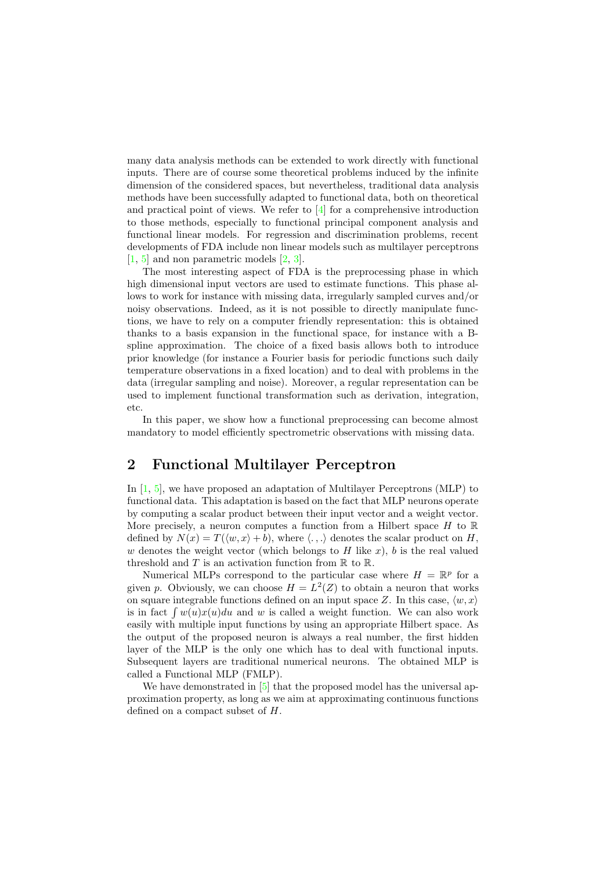many data analysis methods can be extended to work directly with functional inputs. There are of course some theoretical problems induced by the infinite dimension of the considered spaces, but nevertheless, traditional data analysis methods have been successfully adapted to functional data, both on theoretical and practical point of views. We refer to [\[4\]](#page-6-0) for a comprehensive introduction to those methods, especially to functional principal component analysis and functional linear models. For regression and discrimination problems, recent developments of FDA include non linear models such as multilayer perceptrons  $[1, 5]$  $[1, 5]$  $[1, 5]$  and non parametric models  $[2, 3]$  $[2, 3]$  $[2, 3]$ .

The most interesting aspect of FDA is the preprocessing phase in which high dimensional input vectors are used to estimate functions. This phase allows to work for instance with missing data, irregularly sampled curves and/or noisy observations. Indeed, as it is not possible to directly manipulate functions, we have to rely on a computer friendly representation: this is obtained thanks to a basis expansion in the functional space, for instance with a Bspline approximation. The choice of a fixed basis allows both to introduce prior knowledge (for instance a Fourier basis for periodic functions such daily temperature observations in a fixed location) and to deal with problems in the data (irregular sampling and noise). Moreover, a regular representation can be used to implement functional transformation such as derivation, integration, etc.

In this paper, we show how a functional preprocessing can become almost mandatory to model efficiently spectrometric observations with missing data.

## 2 Functional Multilayer Perceptron

In [\[1,](#page-5-0) [5\]](#page-6-1), we have proposed an adaptation of Multilayer Perceptrons (MLP) to functional data. This adaptation is based on the fact that MLP neurons operate by computing a scalar product between their input vector and a weight vector. More precisely, a neuron computes a function from a Hilbert space  $H$  to  $\mathbb R$ defined by  $N(x) = T(\langle w, x \rangle + b)$ , where  $\langle \cdot, \cdot \rangle$  denotes the scalar product on H, w denotes the weight vector (which belongs to H like x), b is the real valued threshold and T is an activation function from  $\mathbb R$  to  $\mathbb R$ .

Numerical MLPs correspond to the particular case where  $H = \mathbb{R}^p$  for a given p. Obviously, we can choose  $H = L^2(Z)$  to obtain a neuron that works on square integrable functions defined on an input space Z. In this case,  $\langle w, x \rangle$ is in fact  $\int w(u)x(u)du$  and w is called a weight function. We can also work easily with multiple input functions by using an appropriate Hilbert space. As the output of the proposed neuron is always a real number, the first hidden layer of the MLP is the only one which has to deal with functional inputs. Subsequent layers are traditional numerical neurons. The obtained MLP is called a Functional MLP (FMLP).

We have demonstrated in [\[5\]](#page-6-1) that the proposed model has the universal approximation property, as long as we aim at approximating continuous functions defined on a compact subset of H.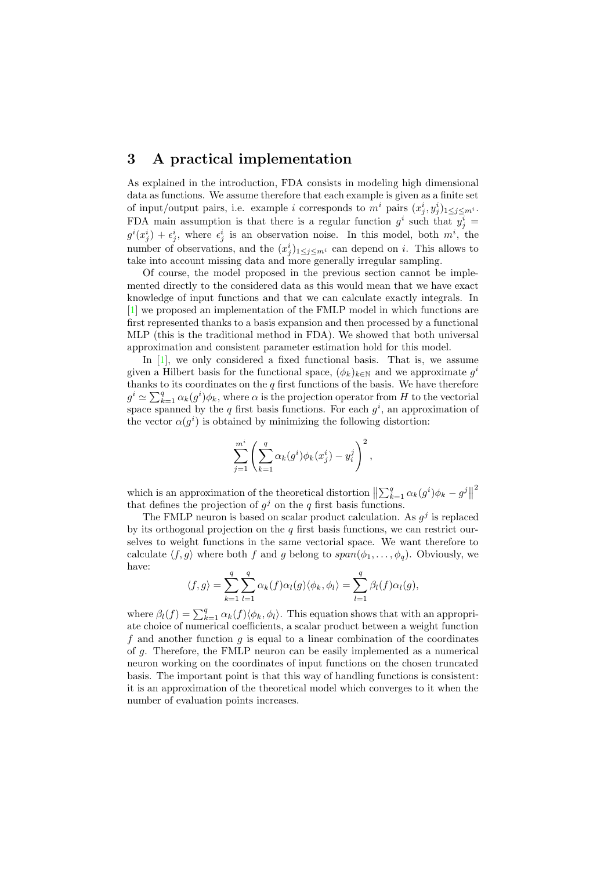#### 3 A practical implementation

As explained in the introduction, FDA consists in modeling high dimensional data as functions. We assume therefore that each example is given as a finite set of input/output pairs, i.e. example i corresponds to  $m^i$  pairs  $(x_j^i, y_j^i)_{1 \leq j \leq m^i}$ . FDA main assumption is that there is a regular function  $g^i$  such that  $y^i_j =$  $g^{i}(x_{j}^{i}) + \epsilon_{j}^{i}$ , where  $\epsilon_{j}^{i}$  is an observation noise. In this model, both  $m^{i}$ , the number of observations, and the  $(x_j^i)_{1 \leq j \leq m^i}$  can depend on *i*. This allows to take into account missing data and more generally irregular sampling.

Of course, the model proposed in the previous section cannot be implemented directly to the considered data as this would mean that we have exact knowledge of input functions and that we can calculate exactly integrals. In [\[1\]](#page-5-0) we proposed an implementation of the FMLP model in which functions are first represented thanks to a basis expansion and then processed by a functional MLP (this is the traditional method in FDA). We showed that both universal approximation and consistent parameter estimation hold for this model.

In  $[1]$ , we only considered a fixed functional basis. That is, we assume given a Hilbert basis for the functional space,  $(\phi_k)_{k \in \mathbb{N}}$  and we approximate  $g^i$ thanks to its coordinates on the  $q$  first functions of the basis. We have therefore  $g^i \simeq \sum_{k=1}^q \alpha_k(g^i)\phi_k$ , where  $\alpha$  is the projection operator from H to the vectorial space spanned by the q first basis functions. For each  $g^i$ , an approximation of the vector  $\alpha(g^i)$  is obtained by minimizing the following distortion:

$$
\sum_{j=1}^{m^i} \left( \sum_{k=1}^q \alpha_k (g^i) \phi_k (x_j^i) - y_i^j \right)^2,
$$

which is an approximation of the theoretical distortion  $\left\| \sum_{k=1}^q \alpha_k(g^i) \phi_k - g^j \right\|$ 2 that defines the projection of  $g^j$  on the q first basis functions.

The FMLP neuron is based on scalar product calculation. As  $g^j$  is replaced by its orthogonal projection on the  $q$  first basis functions, we can restrict ourselves to weight functions in the same vectorial space. We want therefore to calculate  $\langle f, g \rangle$  where both f and g belong to  $span(\phi_1, \ldots, \phi_q)$ . Obviously, we have:

$$
\langle f, g \rangle = \sum_{k=1}^q \sum_{l=1}^q \alpha_k(f) \alpha_l(g) \langle \phi_k, \phi_l \rangle = \sum_{l=1}^q \beta_l(f) \alpha_l(g),
$$

where  $\beta_l(f) = \sum_{k=1}^q \alpha_k(f) \langle \phi_k, \phi_l \rangle$ . This equation shows that with an appropriate choice of numerical coefficients, a scalar product between a weight function f and another function  $g$  is equal to a linear combination of the coordinates of g. Therefore, the FMLP neuron can be easily implemented as a numerical neuron working on the coordinates of input functions on the chosen truncated basis. The important point is that this way of handling functions is consistent: it is an approximation of the theoretical model which converges to it when the number of evaluation points increases.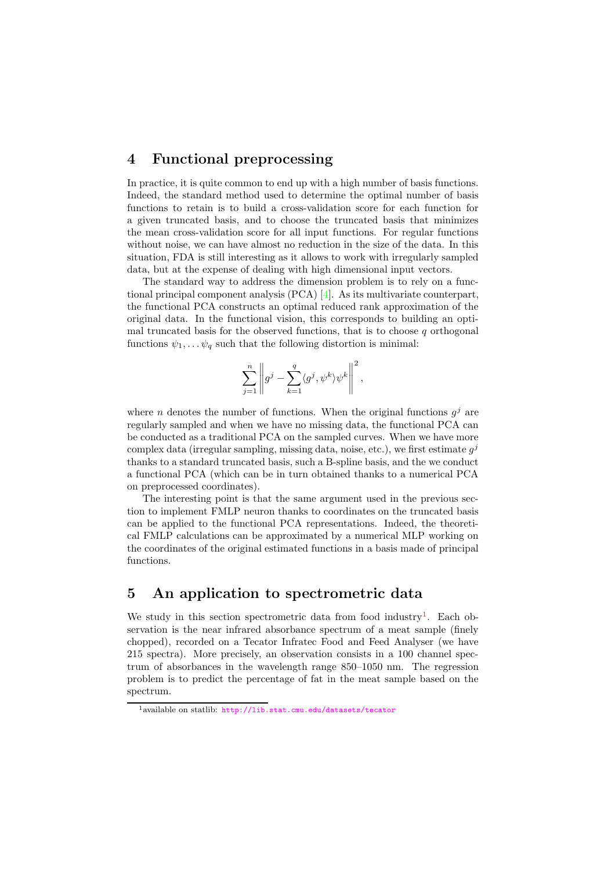#### 4 Functional preprocessing

In practice, it is quite common to end up with a high number of basis functions. Indeed, the standard method used to determine the optimal number of basis functions to retain is to build a cross-validation score for each function for a given truncated basis, and to choose the truncated basis that minimizes the mean cross-validation score for all input functions. For regular functions without noise, we can have almost no reduction in the size of the data. In this situation, FDA is still interesting as it allows to work with irregularly sampled data, but at the expense of dealing with high dimensional input vectors.

The standard way to address the dimension problem is to rely on a functional principal component analysis (PCA) [\[4\]](#page-6-0). As its multivariate counterpart, the functional PCA constructs an optimal reduced rank approximation of the original data. In the functional vision, this corresponds to building an optimal truncated basis for the observed functions, that is to choose  $q$  orthogonal functions  $\psi_1, \ldots, \psi_q$  such that the following distortion is minimal:

$$
\sum_{j=1}^n \left\|g^j - \sum_{k=1}^q \langle g^j, \psi^k \rangle \psi^k \right\|^2,
$$

where *n* denotes the number of functions. When the original functions  $g^j$  are regularly sampled and when we have no missing data, the functional PCA can be conducted as a traditional PCA on the sampled curves. When we have more complex data (irregular sampling, missing data, noise, etc.), we first estimate  $g^j$ thanks to a standard truncated basis, such a B-spline basis, and the we conduct a functional PCA (which can be in turn obtained thanks to a numerical PCA on preprocessed coordinates).

The interesting point is that the same argument used in the previous section to implement FMLP neuron thanks to coordinates on the truncated basis can be applied to the functional PCA representations. Indeed, the theoretical FMLP calculations can be approximated by a numerical MLP working on the coordinates of the original estimated functions in a basis made of principal functions.

## 5 An application to spectrometric data

We study in this section spectrometric data from food industry<sup>[1](#page-3-0)</sup>. Each observation is the near infrared absorbance spectrum of a meat sample (finely chopped), recorded on a Tecator Infratec Food and Feed Analyser (we have 215 spectra). More precisely, an observation consists in a 100 channel spectrum of absorbances in the wavelength range 850–1050 nm. The regression problem is to predict the percentage of fat in the meat sample based on the spectrum.

<span id="page-3-0"></span><sup>1</sup>available on statlib: <http://lib.stat.cmu.edu/datasets/tecator>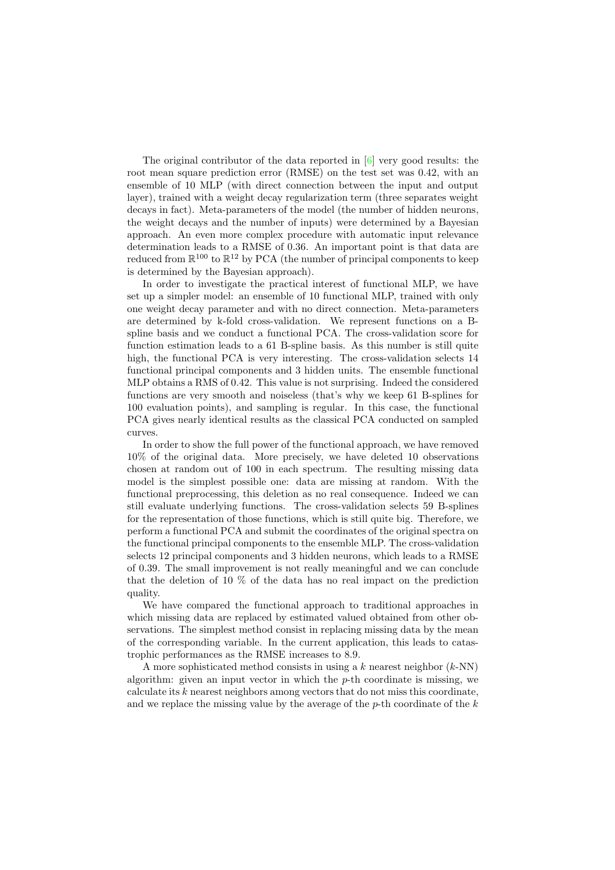The original contributor of the data reported in [\[6\]](#page-6-3) very good results: the root mean square prediction error (RMSE) on the test set was 0.42, with an ensemble of 10 MLP (with direct connection between the input and output layer), trained with a weight decay regularization term (three separates weight decays in fact). Meta-parameters of the model (the number of hidden neurons, the weight decays and the number of inputs) were determined by a Bayesian approach. An even more complex procedure with automatic input relevance determination leads to a RMSE of 0.36. An important point is that data are reduced from  $\mathbb{R}^{100}$  to  $\mathbb{R}^{12}$  by PCA (the number of principal components to keep is determined by the Bayesian approach).

In order to investigate the practical interest of functional MLP, we have set up a simpler model: an ensemble of 10 functional MLP, trained with only one weight decay parameter and with no direct connection. Meta-parameters are determined by k-fold cross-validation. We represent functions on a Bspline basis and we conduct a functional PCA. The cross-validation score for function estimation leads to a 61 B-spline basis. As this number is still quite high, the functional PCA is very interesting. The cross-validation selects 14 functional principal components and 3 hidden units. The ensemble functional MLP obtains a RMS of 0.42. This value is not surprising. Indeed the considered functions are very smooth and noiseless (that's why we keep 61 B-splines for 100 evaluation points), and sampling is regular. In this case, the functional PCA gives nearly identical results as the classical PCA conducted on sampled curves.

In order to show the full power of the functional approach, we have removed 10% of the original data. More precisely, we have deleted 10 observations chosen at random out of 100 in each spectrum. The resulting missing data model is the simplest possible one: data are missing at random. With the functional preprocessing, this deletion as no real consequence. Indeed we can still evaluate underlying functions. The cross-validation selects 59 B-splines for the representation of those functions, which is still quite big. Therefore, we perform a functional PCA and submit the coordinates of the original spectra on the functional principal components to the ensemble MLP. The cross-validation selects 12 principal components and 3 hidden neurons, which leads to a RMSE of 0.39. The small improvement is not really meaningful and we can conclude that the deletion of 10 % of the data has no real impact on the prediction quality.

We have compared the functional approach to traditional approaches in which missing data are replaced by estimated valued obtained from other observations. The simplest method consist in replacing missing data by the mean of the corresponding variable. In the current application, this leads to catastrophic performances as the RMSE increases to 8.9.

A more sophisticated method consists in using a k nearest neighbor  $(k-NN)$ algorithm: given an input vector in which the  $p$ -th coordinate is missing, we calculate its  $k$  nearest neighbors among vectors that do not miss this coordinate, and we replace the missing value by the average of the  $p$ -th coordinate of the  $k$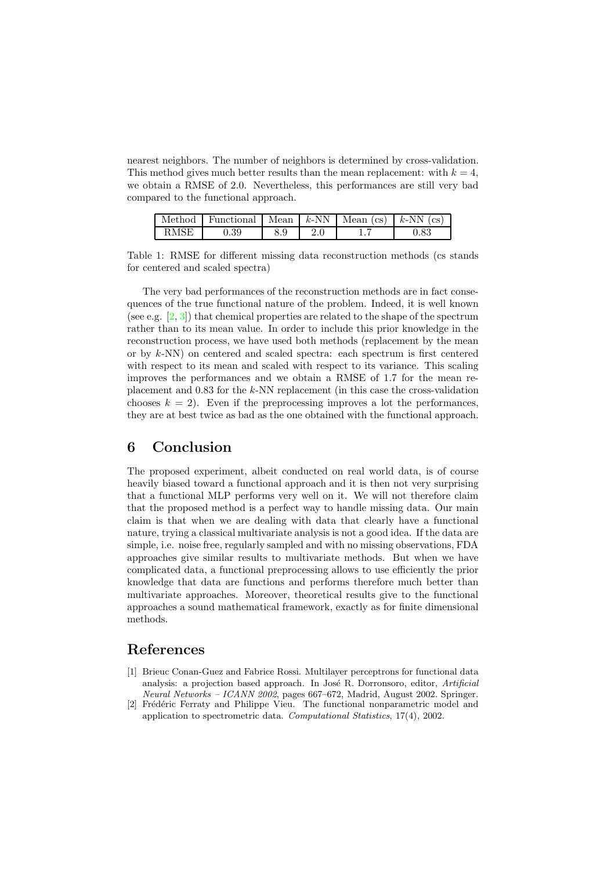nearest neighbors. The number of neighbors is determined by cross-validation. This method gives much better results than the mean replacement: with  $k = 4$ , we obtain a RMSE of 2.0. Nevertheless, this performances are still very bad compared to the functional approach.

|      | Method   Functional   Mean $k$ -NN   Mean $(cs)$   k-NN $(cs)$ |     |  |  |
|------|----------------------------------------------------------------|-----|--|--|
| RMSE | 0.39                                                           | 8.9 |  |  |

Table 1: RMSE for different missing data reconstruction methods (cs stands for centered and scaled spectra)

The very bad performances of the reconstruction methods are in fact consequences of the true functional nature of the problem. Indeed, it is well known (see e.g. [\[2,](#page-5-1) [3\]](#page-6-2)) that chemical properties are related to the shape of the spectrum rather than to its mean value. In order to include this prior knowledge in the reconstruction process, we have used both methods (replacement by the mean or by k-NN) on centered and scaled spectra: each spectrum is first centered with respect to its mean and scaled with respect to its variance. This scaling improves the performances and we obtain a RMSE of 1.7 for the mean replacement and 0.83 for the k-NN replacement (in this case the cross-validation chooses  $k = 2$ ). Even if the preprocessing improves a lot the performances, they are at best twice as bad as the one obtained with the functional approach.

## 6 Conclusion

The proposed experiment, albeit conducted on real world data, is of course heavily biased toward a functional approach and it is then not very surprising that a functional MLP performs very well on it. We will not therefore claim that the proposed method is a perfect way to handle missing data. Our main claim is that when we are dealing with data that clearly have a functional nature, trying a classical multivariate analysis is not a good idea. If the data are simple, i.e. noise free, regularly sampled and with no missing observations, FDA approaches give similar results to multivariate methods. But when we have complicated data, a functional preprocessing allows to use efficiently the prior knowledge that data are functions and performs therefore much better than multivariate approaches. Moreover, theoretical results give to the functional approaches a sound mathematical framework, exactly as for finite dimensional methods.

## <span id="page-5-0"></span>References

- [1] Brieuc Conan-Guez and Fabrice Rossi. Multilayer perceptrons for functional data analysis: a projection based approach. In José R. Dorronsoro, editor, Artificial Neural Networks – ICANN 2002, pages 667–672, Madrid, August 2002. Springer.
- <span id="page-5-1"></span>[2] Frédéric Ferraty and Philippe Vieu. The functional nonparametric model and application to spectrometric data. Computational Statistics, 17(4), 2002.